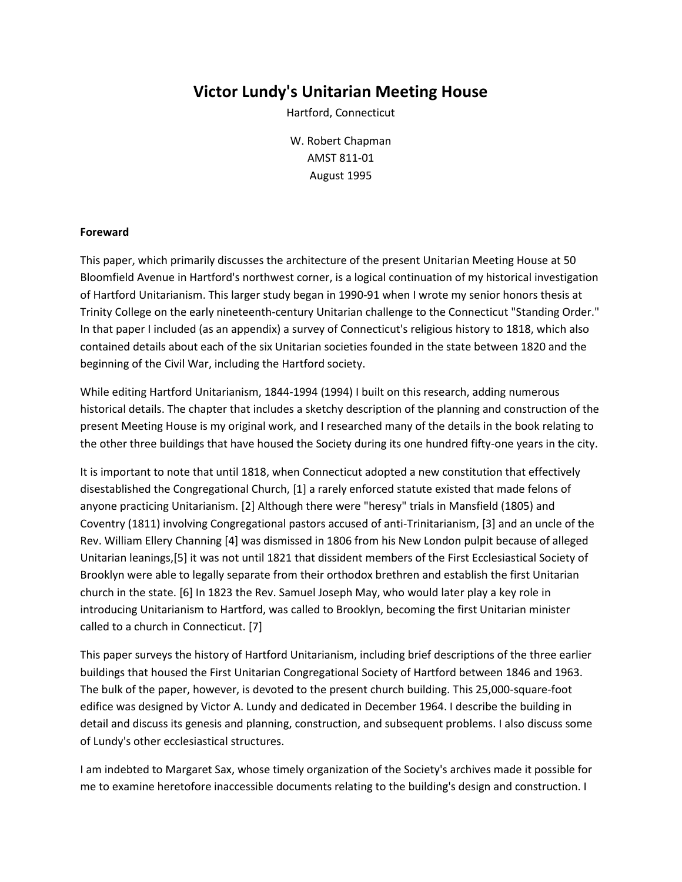# **Victor Lundy's Unitarian Meeting House**

Hartford, Connecticut

W. Robert Chapman AMST 811-01 August 1995

## **Foreward**

This paper, which primarily discusses the architecture of the present Unitarian Meeting House at 50 Bloomfield Avenue in Hartford's northwest corner, is a logical continuation of my historical investigation of Hartford Unitarianism. This larger study began in 1990-91 when I wrote my senior honors thesis at Trinity College on the early nineteenth-century Unitarian challenge to the Connecticut "Standing Order." In that paper I included (as an appendix) a survey of Connecticut's religious history to 1818, which also contained details about each of the six Unitarian societies founded in the state between 1820 and the beginning of the Civil War, including the Hartford society.

While editing Hartford Unitarianism, 1844-1994 (1994) I built on this research, adding numerous historical details. The chapter that includes a sketchy description of the planning and construction of the present Meeting House is my original work, and I researched many of the details in the book relating to the other three buildings that have housed the Society during its one hundred fifty-one years in the city.

It is important to note that until 1818, when Connecticut adopted a new constitution that effectively disestablished the Congregational Church, [1] a rarely enforced statute existed that made felons of anyone practicing Unitarianism. [2] Although there were "heresy" trials in Mansfield (1805) and Coventry (1811) involving Congregational pastors accused of anti-Trinitarianism, [3] and an uncle of the Rev. William Ellery Channing [4] was dismissed in 1806 from his New London pulpit because of alleged Unitarian leanings,[5] it was not until 1821 that dissident members of the First Ecclesiastical Society of Brooklyn were able to legally separate from their orthodox brethren and establish the first Unitarian church in the state. [6] In 1823 the Rev. Samuel Joseph May, who would later play a key role in introducing Unitarianism to Hartford, was called to Brooklyn, becoming the first Unitarian minister called to a church in Connecticut. [7]

This paper surveys the history of Hartford Unitarianism, including brief descriptions of the three earlier buildings that housed the First Unitarian Congregational Society of Hartford between 1846 and 1963. The bulk of the paper, however, is devoted to the present church building. This 25,000-square-foot edifice was designed by Victor A. Lundy and dedicated in December 1964. I describe the building in detail and discuss its genesis and planning, construction, and subsequent problems. I also discuss some of Lundy's other ecclesiastical structures.

I am indebted to Margaret Sax, whose timely organization of the Society's archives made it possible for me to examine heretofore inaccessible documents relating to the building's design and construction. I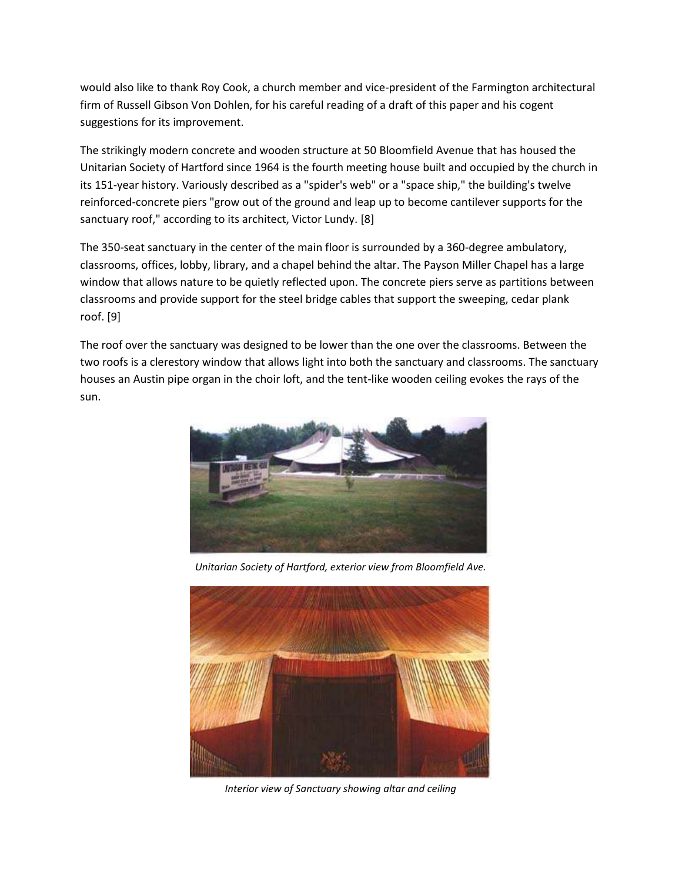would also like to thank Roy Cook, a church member and vice-president of the Farmington architectural firm of Russell Gibson Von Dohlen, for his careful reading of a draft of this paper and his cogent suggestions for its improvement.

The strikingly modern concrete and wooden structure at 50 Bloomfield Avenue that has housed the Unitarian Society of Hartford since 1964 is the fourth meeting house built and occupied by the church in its 151-year history. Variously described as a "spider's web" or a "space ship," the building's twelve reinforced-concrete piers "grow out of the ground and leap up to become cantilever supports for the sanctuary roof," according to its architect, Victor Lundy. [8]

The 350-seat sanctuary in the center of the main floor is surrounded by a 360-degree ambulatory, classrooms, offices, lobby, library, and a chapel behind the altar. The Payson Miller Chapel has a large window that allows nature to be quietly reflected upon. The concrete piers serve as partitions between classrooms and provide support for the steel bridge cables that support the sweeping, cedar plank roof. [9]

The roof over the sanctuary was designed to be lower than the one over the classrooms. Between the two roofs is a clerestory window that allows light into both the sanctuary and classrooms. The sanctuary houses an Austin pipe organ in the choir loft, and the tent-like wooden ceiling evokes the rays of the sun.



*Unitarian Society of Hartford, exterior view from Bloomfield Ave.*



*Interior view of Sanctuary showing altar and ceiling*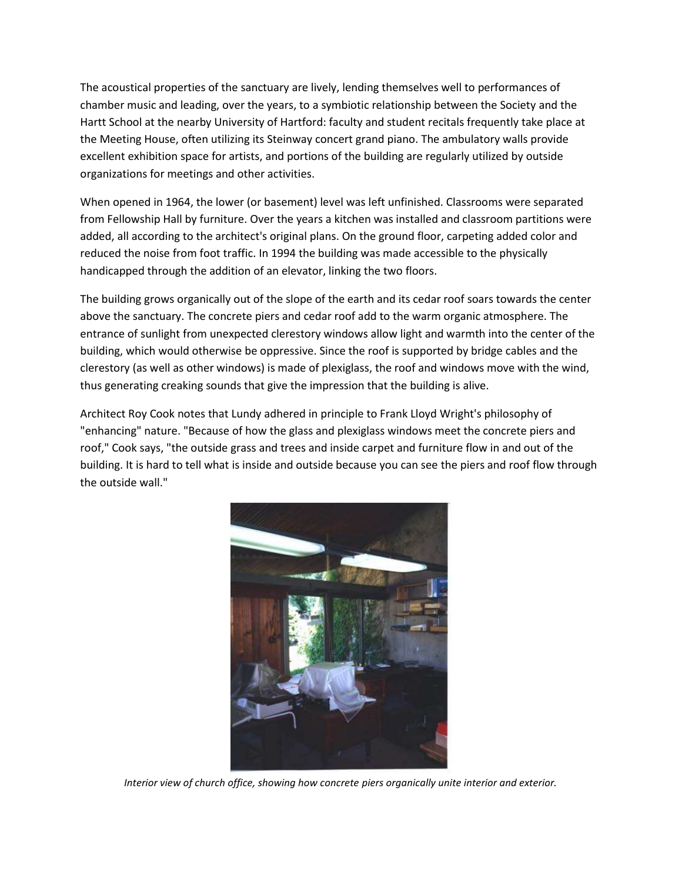The acoustical properties of the sanctuary are lively, lending themselves well to performances of chamber music and leading, over the years, to a symbiotic relationship between the Society and the Hartt School at the nearby University of Hartford: faculty and student recitals frequently take place at the Meeting House, often utilizing its Steinway concert grand piano. The ambulatory walls provide excellent exhibition space for artists, and portions of the building are regularly utilized by outside organizations for meetings and other activities.

When opened in 1964, the lower (or basement) level was left unfinished. Classrooms were separated from Fellowship Hall by furniture. Over the years a kitchen was installed and classroom partitions were added, all according to the architect's original plans. On the ground floor, carpeting added color and reduced the noise from foot traffic. In 1994 the building was made accessible to the physically handicapped through the addition of an elevator, linking the two floors.

The building grows organically out of the slope of the earth and its cedar roof soars towards the center above the sanctuary. The concrete piers and cedar roof add to the warm organic atmosphere. The entrance of sunlight from unexpected clerestory windows allow light and warmth into the center of the building, which would otherwise be oppressive. Since the roof is supported by bridge cables and the clerestory (as well as other windows) is made of plexiglass, the roof and windows move with the wind, thus generating creaking sounds that give the impression that the building is alive.

Architect Roy Cook notes that Lundy adhered in principle to Frank Lloyd Wright's philosophy of "enhancing" nature. "Because of how the glass and plexiglass windows meet the concrete piers and roof," Cook says, "the outside grass and trees and inside carpet and furniture flow in and out of the building. It is hard to tell what is inside and outside because you can see the piers and roof flow through the outside wall."



*Interior view of church office, showing how concrete piers organically unite interior and exterior.*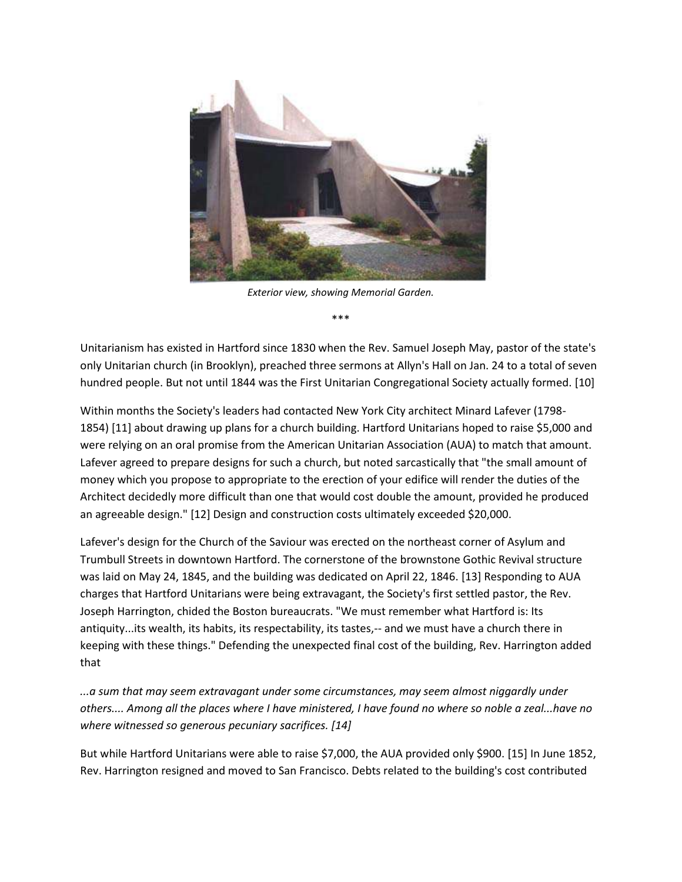

*Exterior view, showing Memorial Garden.*

\*\*\*

Unitarianism has existed in Hartford since 1830 when the Rev. Samuel Joseph May, pastor of the state's only Unitarian church (in Brooklyn), preached three sermons at Allyn's Hall on Jan. 24 to a total of seven hundred people. But not until 1844 was the First Unitarian Congregational Society actually formed. [10]

Within months the Society's leaders had contacted New York City architect Minard Lafever (1798- 1854) [11] about drawing up plans for a church building. Hartford Unitarians hoped to raise \$5,000 and were relying on an oral promise from the American Unitarian Association (AUA) to match that amount. Lafever agreed to prepare designs for such a church, but noted sarcastically that "the small amount of money which you propose to appropriate to the erection of your edifice will render the duties of the Architect decidedly more difficult than one that would cost double the amount, provided he produced an agreeable design." [12] Design and construction costs ultimately exceeded \$20,000.

Lafever's design for the Church of the Saviour was erected on the northeast corner of Asylum and Trumbull Streets in downtown Hartford. The cornerstone of the brownstone Gothic Revival structure was laid on May 24, 1845, and the building was dedicated on April 22, 1846. [13] Responding to AUA charges that Hartford Unitarians were being extravagant, the Society's first settled pastor, the Rev. Joseph Harrington, chided the Boston bureaucrats. "We must remember what Hartford is: Its antiquity...its wealth, its habits, its respectability, its tastes,-- and we must have a church there in keeping with these things." Defending the unexpected final cost of the building, Rev. Harrington added that

*...a sum that may seem extravagant under some circumstances, may seem almost niggardly under others.... Among all the places where I have ministered, I have found no where so noble a zeal...have no where witnessed so generous pecuniary sacrifices. [14]*

But while Hartford Unitarians were able to raise \$7,000, the AUA provided only \$900. [15] In June 1852, Rev. Harrington resigned and moved to San Francisco. Debts related to the building's cost contributed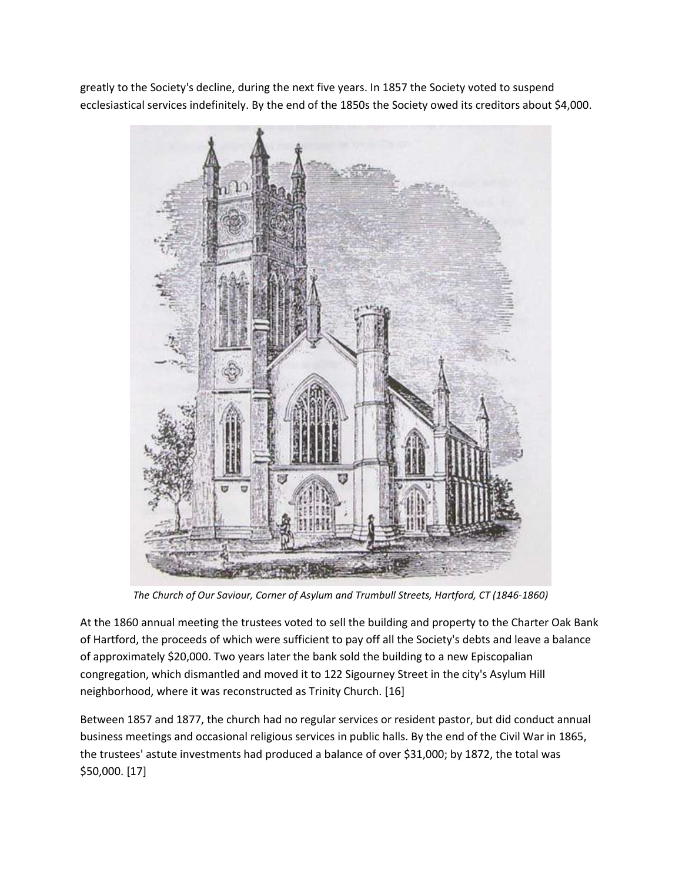greatly to the Society's decline, during the next five years. In 1857 the Society voted to suspend ecclesiastical services indefinitely. By the end of the 1850s the Society owed its creditors about \$4,000.



*The Church of Our Saviour, Corner of Asylum and Trumbull Streets, Hartford, CT (1846-1860)*

At the 1860 annual meeting the trustees voted to sell the building and property to the Charter Oak Bank of Hartford, the proceeds of which were sufficient to pay off all the Society's debts and leave a balance of approximately \$20,000. Two years later the bank sold the building to a new Episcopalian congregation, which dismantled and moved it to 122 Sigourney Street in the city's Asylum Hill neighborhood, where it was reconstructed as Trinity Church. [16]

Between 1857 and 1877, the church had no regular services or resident pastor, but did conduct annual business meetings and occasional religious services in public halls. By the end of the Civil War in 1865, the trustees' astute investments had produced a balance of over \$31,000; by 1872, the total was \$50,000. [17]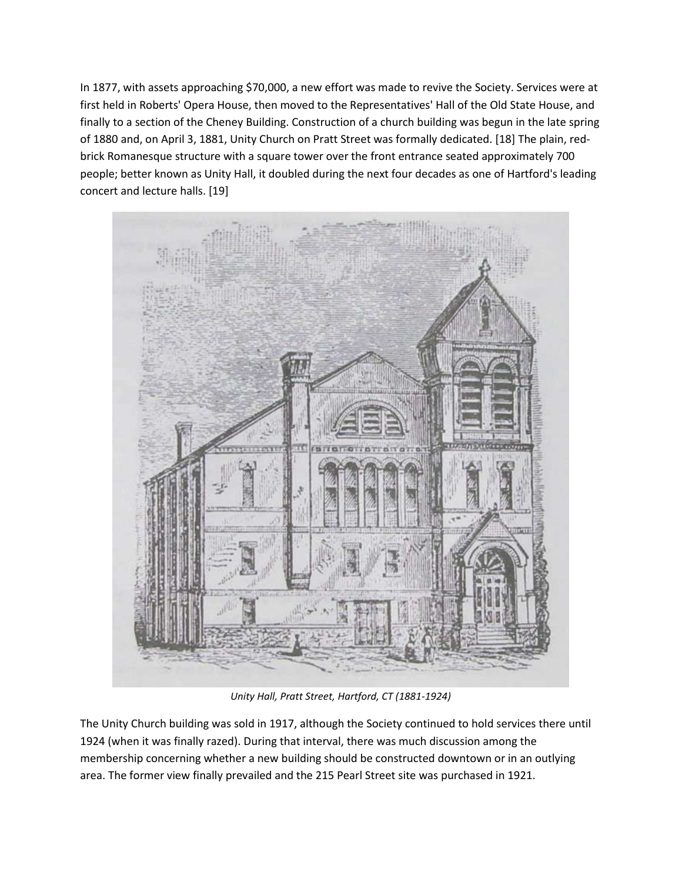In 1877, with assets approaching \$70,000, a new effort was made to revive the Society. Services were at first held in Roberts' Opera House, then moved to the Representatives' Hall of the Old State House, and finally to a section of the Cheney Building. Construction of a church building was begun in the late spring of 1880 and, on April 3, 1881, Unity Church on Pratt Street was formally dedicated. [18] The plain, redbrick Romanesque structure with a square tower over the front entrance seated approximately 700 people; better known as Unity Hall, it doubled during the next four decades as one of Hartford's leading concert and lecture halls. [19]



*Unity Hall, Pratt Street, Hartford, CT (1881-1924)*

The Unity Church building was sold in 1917, although the Society continued to hold services there until 1924 (when it was finally razed). During that interval, there was much discussion among the membership concerning whether a new building should be constructed downtown or in an outlying area. The former view finally prevailed and the 215 Pearl Street site was purchased in 1921.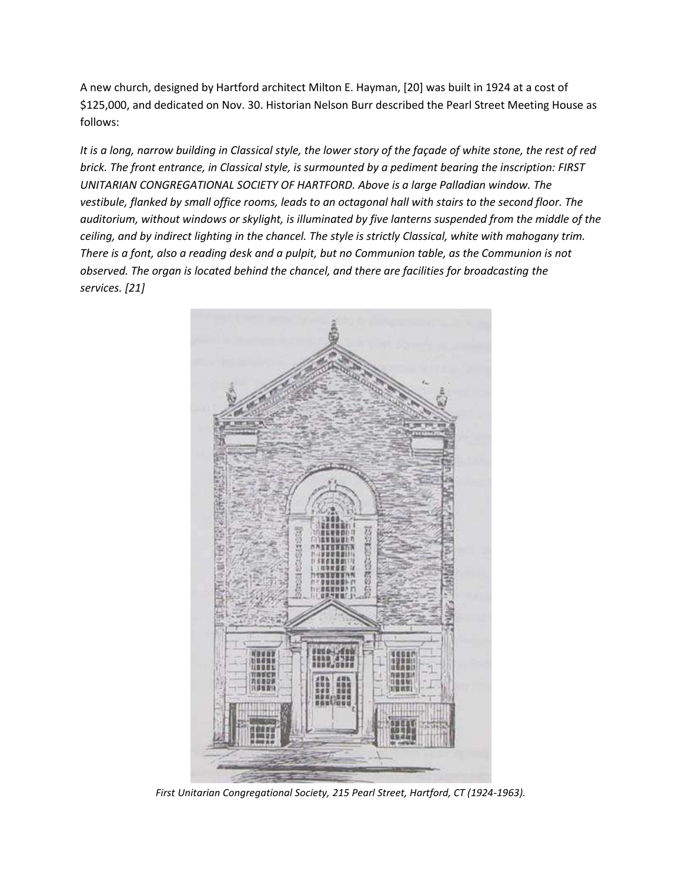A new church, designed by Hartford architect Milton E. Hayman, [20] was built in 1924 at a cost of \$125,000, and dedicated on Nov. 30. Historian Nelson Burr described the Pearl Street Meeting House as follows:

*It is a long, narrow building in Classical style, the lower story of the façade of white stone, the rest of red brick. The front entrance, in Classical style, is surmounted by a pediment bearing the inscription: FIRST UNITARIAN CONGREGATIONAL SOCIETY OF HARTFORD. Above is a large Palladian window. The vestibule, flanked by small office rooms, leads to an octagonal hall with stairs to the second floor. The auditorium, without windows or skylight, is illuminated by five lanterns suspended from the middle of the ceiling, and by indirect lighting in the chancel. The style is strictly Classical, white with mahogany trim. There is a font, also a reading desk and a pulpit, but no Communion table, as the Communion is not observed. The organ is located behind the chancel, and there are facilities for broadcasting the services. [21]*



*First Unitarian Congregational Society, 215 Pearl Street, Hartford, CT (1924-1963).*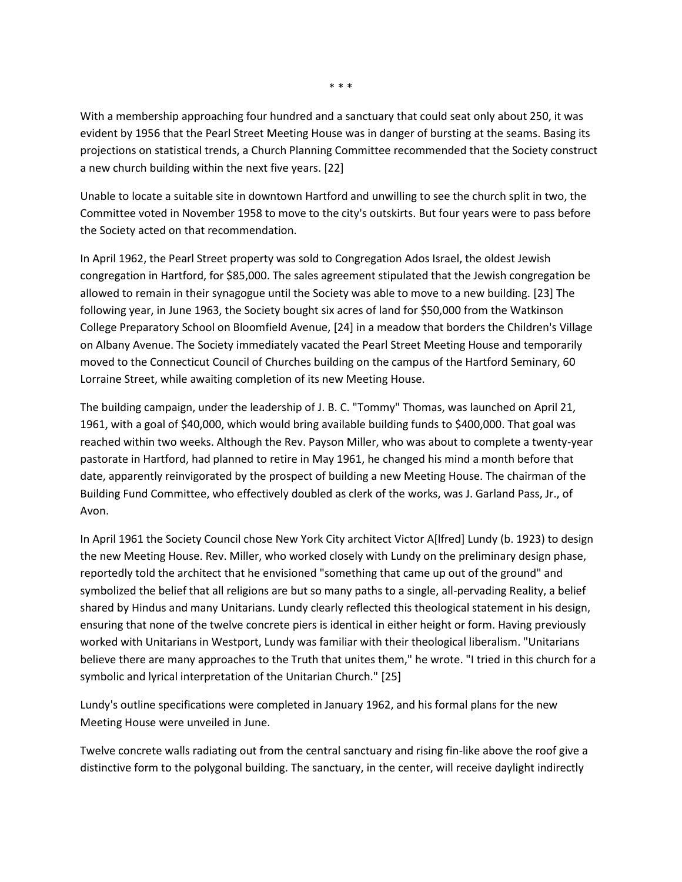With a membership approaching four hundred and a sanctuary that could seat only about 250, it was evident by 1956 that the Pearl Street Meeting House was in danger of bursting at the seams. Basing its projections on statistical trends, a Church Planning Committee recommended that the Society construct a new church building within the next five years. [22]

Unable to locate a suitable site in downtown Hartford and unwilling to see the church split in two, the Committee voted in November 1958 to move to the city's outskirts. But four years were to pass before the Society acted on that recommendation.

In April 1962, the Pearl Street property was sold to Congregation Ados Israel, the oldest Jewish congregation in Hartford, for \$85,000. The sales agreement stipulated that the Jewish congregation be allowed to remain in their synagogue until the Society was able to move to a new building. [23] The following year, in June 1963, the Society bought six acres of land for \$50,000 from the Watkinson College Preparatory School on Bloomfield Avenue, [24] in a meadow that borders the Children's Village on Albany Avenue. The Society immediately vacated the Pearl Street Meeting House and temporarily moved to the Connecticut Council of Churches building on the campus of the Hartford Seminary, 60 Lorraine Street, while awaiting completion of its new Meeting House.

The building campaign, under the leadership of J. B. C. "Tommy" Thomas, was launched on April 21, 1961, with a goal of \$40,000, which would bring available building funds to \$400,000. That goal was reached within two weeks. Although the Rev. Payson Miller, who was about to complete a twenty-year pastorate in Hartford, had planned to retire in May 1961, he changed his mind a month before that date, apparently reinvigorated by the prospect of building a new Meeting House. The chairman of the Building Fund Committee, who effectively doubled as clerk of the works, was J. Garland Pass, Jr., of Avon.

In April 1961 the Society Council chose New York City architect Victor A[lfred] Lundy (b. 1923) to design the new Meeting House. Rev. Miller, who worked closely with Lundy on the preliminary design phase, reportedly told the architect that he envisioned "something that came up out of the ground" and symbolized the belief that all religions are but so many paths to a single, all-pervading Reality, a belief shared by Hindus and many Unitarians. Lundy clearly reflected this theological statement in his design, ensuring that none of the twelve concrete piers is identical in either height or form. Having previously worked with Unitarians in Westport, Lundy was familiar with their theological liberalism. "Unitarians believe there are many approaches to the Truth that unites them," he wrote. "I tried in this church for a symbolic and lyrical interpretation of the Unitarian Church." [25]

Lundy's outline specifications were completed in January 1962, and his formal plans for the new Meeting House were unveiled in June.

Twelve concrete walls radiating out from the central sanctuary and rising fin-like above the roof give a distinctive form to the polygonal building. The sanctuary, in the center, will receive daylight indirectly

\* \* \*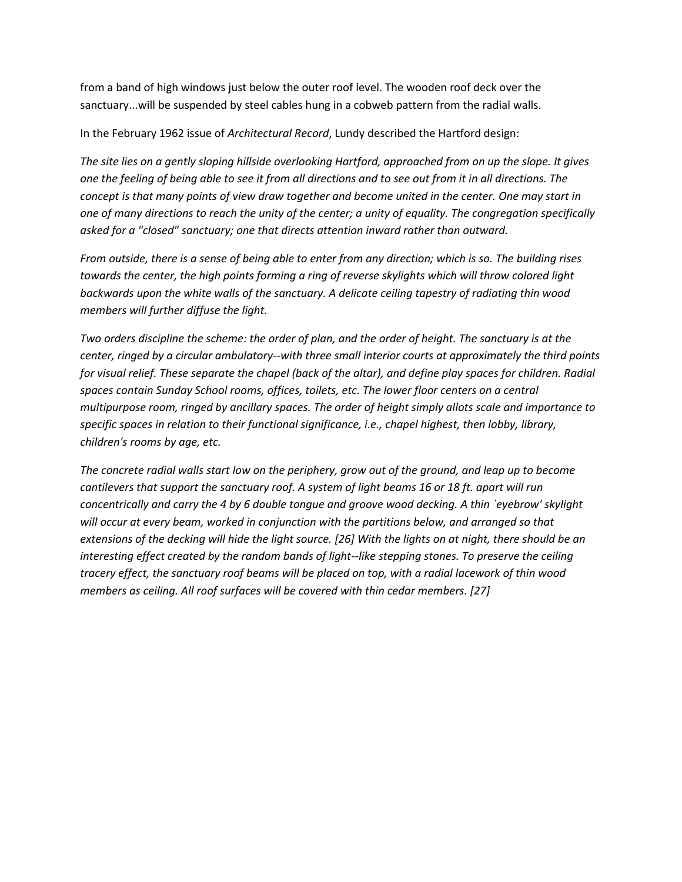from a band of high windows just below the outer roof level. The wooden roof deck over the sanctuary...will be suspended by steel cables hung in a cobweb pattern from the radial walls.

In the February 1962 issue of *Architectural Record*, Lundy described the Hartford design:

*The site lies on a gently sloping hillside overlooking Hartford, approached from on up the slope. It gives one the feeling of being able to see it from all directions and to see out from it in all directions. The concept is that many points of view draw together and become united in the center. One may start in one of many directions to reach the unity of the center; a unity of equality. The congregation specifically asked for a "closed" sanctuary; one that directs attention inward rather than outward.*

*From outside, there is a sense of being able to enter from any direction; which is so. The building rises towards the center, the high points forming a ring of reverse skylights which will throw colored light backwards upon the white walls of the sanctuary. A delicate ceiling tapestry of radiating thin wood members will further diffuse the light.*

*Two orders discipline the scheme: the order of plan, and the order of height. The sanctuary is at the center, ringed by a circular ambulatory--with three small interior courts at approximately the third points for visual relief. These separate the chapel (back of the altar), and define play spaces for children. Radial spaces contain Sunday School rooms, offices, toilets, etc. The lower floor centers on a central multipurpose room, ringed by ancillary spaces. The order of height simply allots scale and importance to specific spaces in relation to their functional significance, i.e., chapel highest, then lobby, library, children's rooms by age, etc.*

*The concrete radial walls start low on the periphery, grow out of the ground, and leap up to become cantilevers that support the sanctuary roof. A system of light beams 16 or 18 ft. apart will run concentrically and carry the 4 by 6 double tongue and groove wood decking. A thin `eyebrow' skylight will occur at every beam, worked in conjunction with the partitions below, and arranged so that extensions of the decking will hide the light source. [26] With the lights on at night, there should be an interesting effect created by the random bands of light--like stepping stones. To preserve the ceiling tracery effect, the sanctuary roof beams will be placed on top, with a radial lacework of thin wood members as ceiling. All roof surfaces will be covered with thin cedar members. [27]*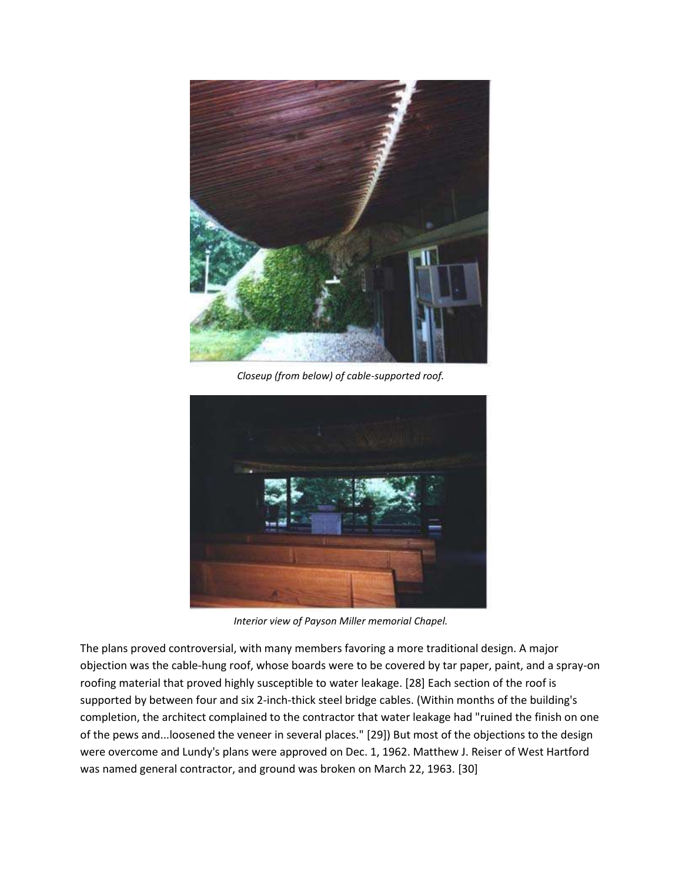

*Closeup (from below) of cable-supported roof.*



*Interior view of Payson Miller memorial Chapel.*

The plans proved controversial, with many members favoring a more traditional design. A major objection was the cable-hung roof, whose boards were to be covered by tar paper, paint, and a spray-on roofing material that proved highly susceptible to water leakage. [28] Each section of the roof is supported by between four and six 2-inch-thick steel bridge cables. (Within months of the building's completion, the architect complained to the contractor that water leakage had "ruined the finish on one of the pews and...loosened the veneer in several places." [29]) But most of the objections to the design were overcome and Lundy's plans were approved on Dec. 1, 1962. Matthew J. Reiser of West Hartford was named general contractor, and ground was broken on March 22, 1963. [30]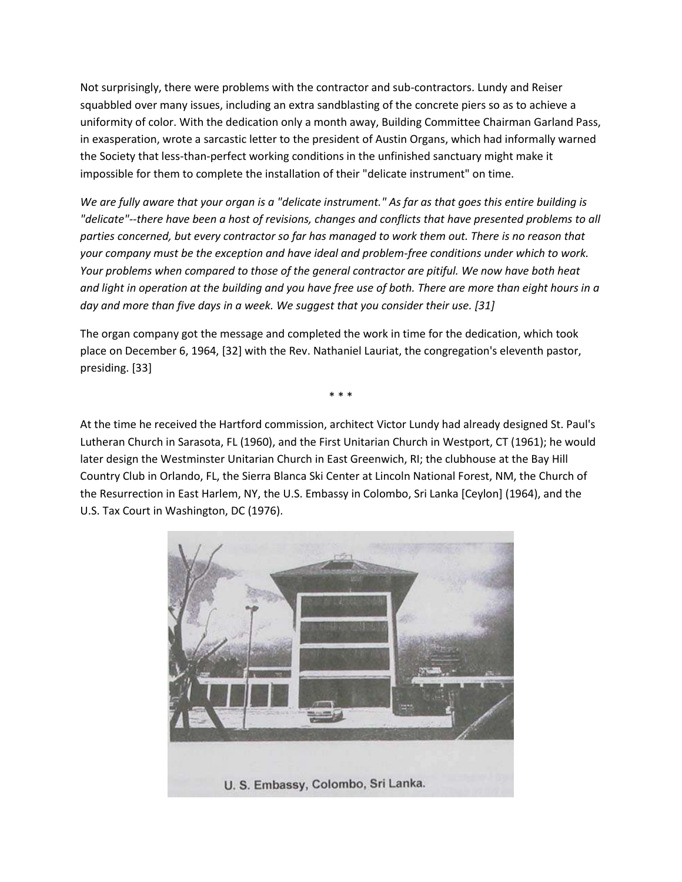Not surprisingly, there were problems with the contractor and sub-contractors. Lundy and Reiser squabbled over many issues, including an extra sandblasting of the concrete piers so as to achieve a uniformity of color. With the dedication only a month away, Building Committee Chairman Garland Pass, in exasperation, wrote a sarcastic letter to the president of Austin Organs, which had informally warned the Society that less-than-perfect working conditions in the unfinished sanctuary might make it impossible for them to complete the installation of their "delicate instrument" on time.

*We are fully aware that your organ is a "delicate instrument." As far as that goes this entire building is "delicate"--there have been a host of revisions, changes and conflicts that have presented problems to all parties concerned, but every contractor so far has managed to work them out. There is no reason that your company must be the exception and have ideal and problem-free conditions under which to work. Your problems when compared to those of the general contractor are pitiful. We now have both heat and light in operation at the building and you have free use of both. There are more than eight hours in a day and more than five days in a week. We suggest that you consider their use. [31]*

The organ company got the message and completed the work in time for the dedication, which took place on December 6, 1964, [32] with the Rev. Nathaniel Lauriat, the congregation's eleventh pastor, presiding. [33]

\* \* \*

At the time he received the Hartford commission, architect Victor Lundy had already designed St. Paul's Lutheran Church in Sarasota, FL (1960), and the First Unitarian Church in Westport, CT (1961); he would later design the Westminster Unitarian Church in East Greenwich, RI; the clubhouse at the Bay Hill Country Club in Orlando, FL, the Sierra Blanca Ski Center at Lincoln National Forest, NM, the Church of the Resurrection in East Harlem, NY, the U.S. Embassy in Colombo, Sri Lanka [Ceylon] (1964), and the U.S. Tax Court in Washington, DC (1976).

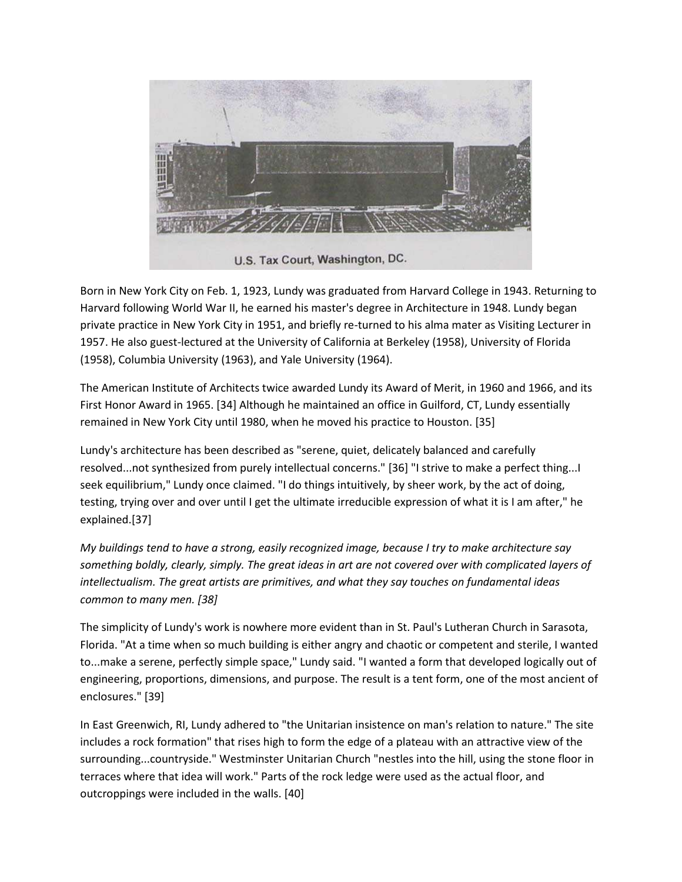

Born in New York City on Feb. 1, 1923, Lundy was graduated from Harvard College in 1943. Returning to Harvard following World War II, he earned his master's degree in Architecture in 1948. Lundy began private practice in New York City in 1951, and briefly re-turned to his alma mater as Visiting Lecturer in 1957. He also guest-lectured at the University of California at Berkeley (1958), University of Florida (1958), Columbia University (1963), and Yale University (1964).

The American Institute of Architects twice awarded Lundy its Award of Merit, in 1960 and 1966, and its First Honor Award in 1965. [34] Although he maintained an office in Guilford, CT, Lundy essentially remained in New York City until 1980, when he moved his practice to Houston. [35]

Lundy's architecture has been described as "serene, quiet, delicately balanced and carefully resolved...not synthesized from purely intellectual concerns." [36] "I strive to make a perfect thing...I seek equilibrium," Lundy once claimed. "I do things intuitively, by sheer work, by the act of doing, testing, trying over and over until I get the ultimate irreducible expression of what it is I am after," he explained.[37]

*My buildings tend to have a strong, easily recognized image, because I try to make architecture say something boldly, clearly, simply. The great ideas in art are not covered over with complicated layers of intellectualism. The great artists are primitives, and what they say touches on fundamental ideas common to many men. [38]*

The simplicity of Lundy's work is nowhere more evident than in St. Paul's Lutheran Church in Sarasota, Florida. "At a time when so much building is either angry and chaotic or competent and sterile, I wanted to...make a serene, perfectly simple space," Lundy said. "I wanted a form that developed logically out of engineering, proportions, dimensions, and purpose. The result is a tent form, one of the most ancient of enclosures." [39]

In East Greenwich, RI, Lundy adhered to "the Unitarian insistence on man's relation to nature." The site includes a rock formation" that rises high to form the edge of a plateau with an attractive view of the surrounding...countryside." Westminster Unitarian Church "nestles into the hill, using the stone floor in terraces where that idea will work." Parts of the rock ledge were used as the actual floor, and outcroppings were included in the walls. [40]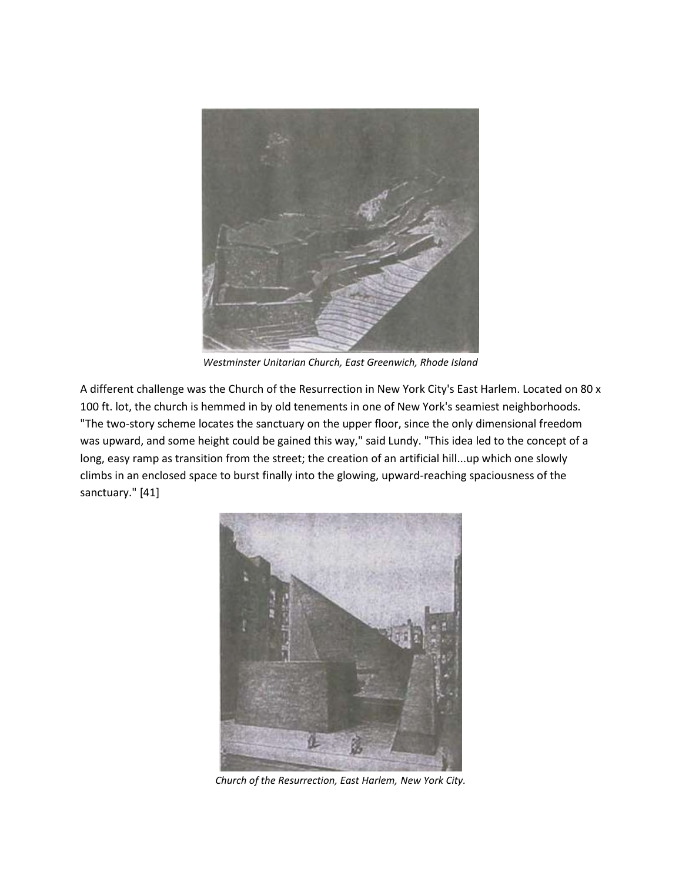

*Westminster Unitarian Church, East Greenwich, Rhode Island*

A different challenge was the Church of the Resurrection in New York City's East Harlem. Located on 80 x 100 ft. lot, the church is hemmed in by old tenements in one of New York's seamiest neighborhoods. "The two-story scheme locates the sanctuary on the upper floor, since the only dimensional freedom was upward, and some height could be gained this way," said Lundy. "This idea led to the concept of a long, easy ramp as transition from the street; the creation of an artificial hill...up which one slowly climbs in an enclosed space to burst finally into the glowing, upward-reaching spaciousness of the sanctuary." [41]



*Church of the Resurrection, East Harlem, New York City.*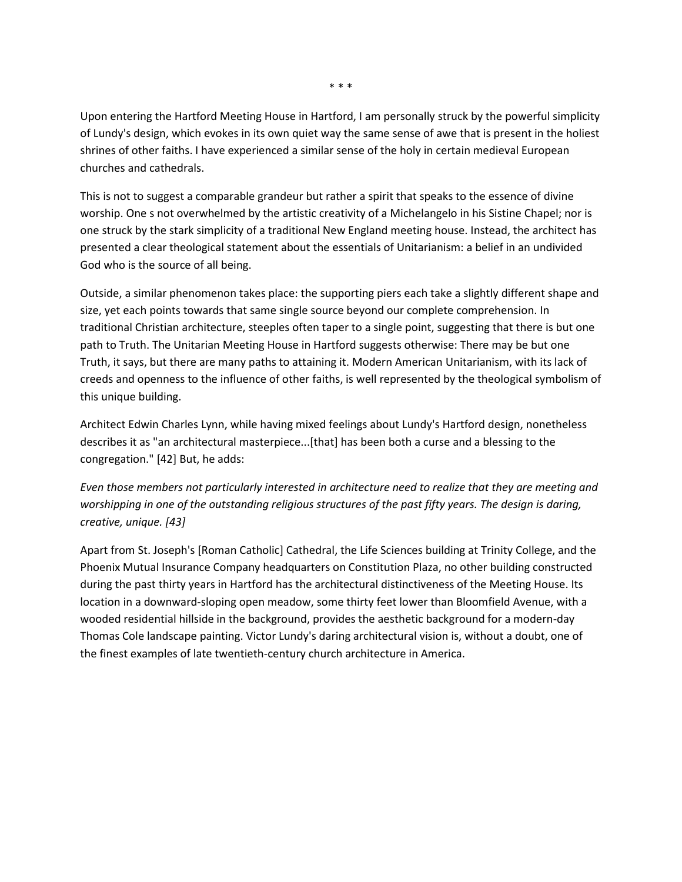Upon entering the Hartford Meeting House in Hartford, I am personally struck by the powerful simplicity of Lundy's design, which evokes in its own quiet way the same sense of awe that is present in the holiest shrines of other faiths. I have experienced a similar sense of the holy in certain medieval European churches and cathedrals.

This is not to suggest a comparable grandeur but rather a spirit that speaks to the essence of divine worship. One s not overwhelmed by the artistic creativity of a Michelangelo in his Sistine Chapel; nor is one struck by the stark simplicity of a traditional New England meeting house. Instead, the architect has presented a clear theological statement about the essentials of Unitarianism: a belief in an undivided God who is the source of all being.

Outside, a similar phenomenon takes place: the supporting piers each take a slightly different shape and size, yet each points towards that same single source beyond our complete comprehension. In traditional Christian architecture, steeples often taper to a single point, suggesting that there is but one path to Truth. The Unitarian Meeting House in Hartford suggests otherwise: There may be but one Truth, it says, but there are many paths to attaining it. Modern American Unitarianism, with its lack of creeds and openness to the influence of other faiths, is well represented by the theological symbolism of this unique building.

Architect Edwin Charles Lynn, while having mixed feelings about Lundy's Hartford design, nonetheless describes it as "an architectural masterpiece...[that] has been both a curse and a blessing to the congregation." [42] But, he adds:

*Even those members not particularly interested in architecture need to realize that they are meeting and worshipping in one of the outstanding religious structures of the past fifty years. The design is daring, creative, unique. [43]*

Apart from St. Joseph's [Roman Catholic] Cathedral, the Life Sciences building at Trinity College, and the Phoenix Mutual Insurance Company headquarters on Constitution Plaza, no other building constructed during the past thirty years in Hartford has the architectural distinctiveness of the Meeting House. Its location in a downward-sloping open meadow, some thirty feet lower than Bloomfield Avenue, with a wooded residential hillside in the background, provides the aesthetic background for a modern-day Thomas Cole landscape painting. Victor Lundy's daring architectural vision is, without a doubt, one of the finest examples of late twentieth-century church architecture in America.

\* \* \*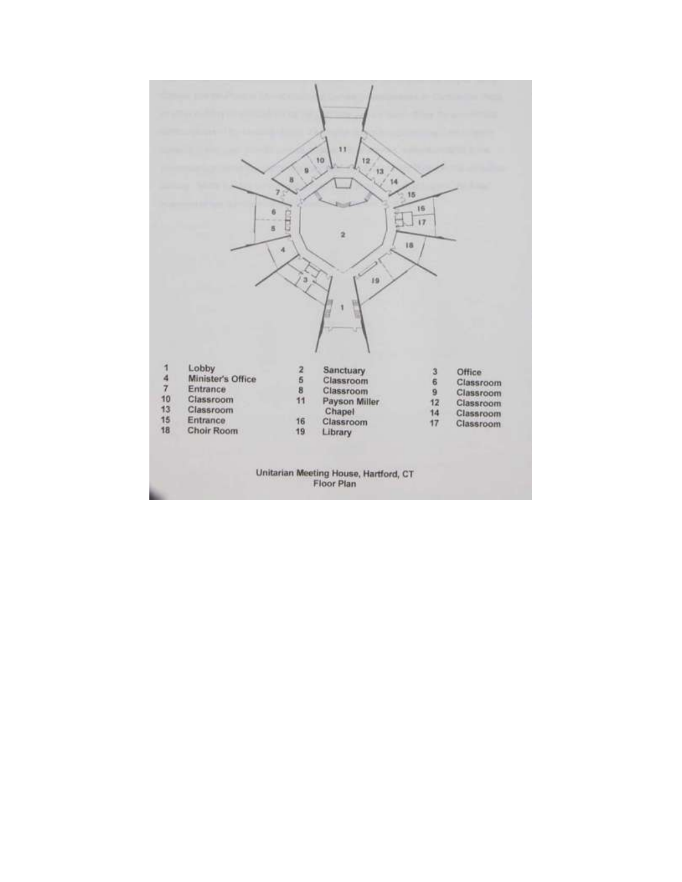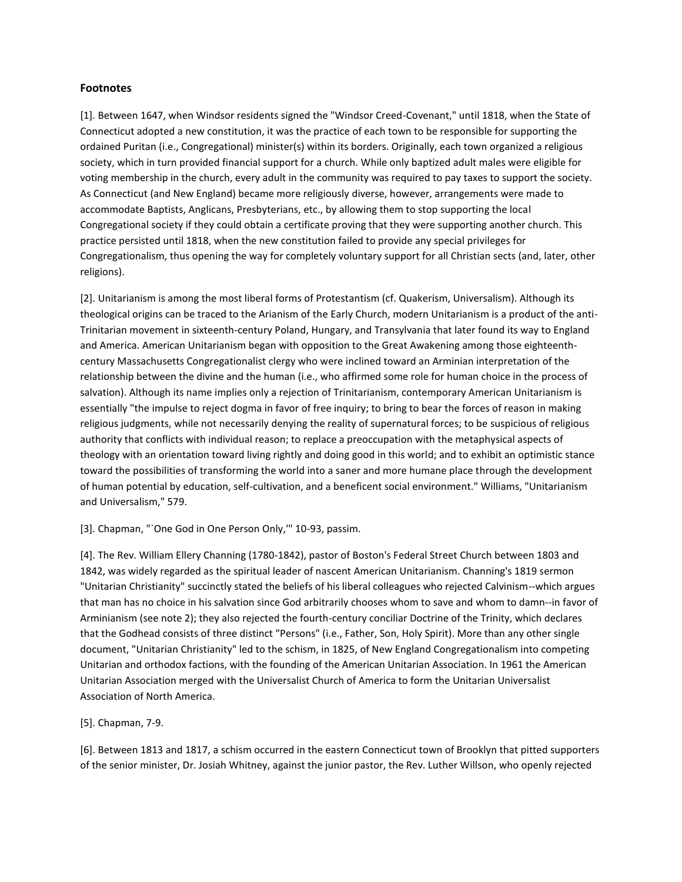### **Footnotes**

[1]. Between 1647, when Windsor residents signed the "Windsor Creed-Covenant," until 1818, when the State of Connecticut adopted a new constitution, it was the practice of each town to be responsible for supporting the ordained Puritan (i.e., Congregational) minister(s) within its borders. Originally, each town organized a religious society, which in turn provided financial support for a church. While only baptized adult males were eligible for voting membership in the church, every adult in the community was required to pay taxes to support the society. As Connecticut (and New England) became more religiously diverse, however, arrangements were made to accommodate Baptists, Anglicans, Presbyterians, etc., by allowing them to stop supporting the local Congregational society if they could obtain a certificate proving that they were supporting another church. This practice persisted until 1818, when the new constitution failed to provide any special privileges for Congregationalism, thus opening the way for completely voluntary support for all Christian sects (and, later, other religions).

[2]. Unitarianism is among the most liberal forms of Protestantism (cf. Quakerism, Universalism). Although its theological origins can be traced to the Arianism of the Early Church, modern Unitarianism is a product of the anti-Trinitarian movement in sixteenth-century Poland, Hungary, and Transylvania that later found its way to England and America. American Unitarianism began with opposition to the Great Awakening among those eighteenthcentury Massachusetts Congregationalist clergy who were inclined toward an Arminian interpretation of the relationship between the divine and the human (i.e., who affirmed some role for human choice in the process of salvation). Although its name implies only a rejection of Trinitarianism, contemporary American Unitarianism is essentially "the impulse to reject dogma in favor of free inquiry; to bring to bear the forces of reason in making religious judgments, while not necessarily denying the reality of supernatural forces; to be suspicious of religious authority that conflicts with individual reason; to replace a preoccupation with the metaphysical aspects of theology with an orientation toward living rightly and doing good in this world; and to exhibit an optimistic stance toward the possibilities of transforming the world into a saner and more humane place through the development of human potential by education, self-cultivation, and a beneficent social environment." Williams, "Unitarianism and Universalism," 579.

## [3]. Chapman, "`One God in One Person Only, "' 10-93, passim.

[4]. The Rev. William Ellery Channing (1780-1842), pastor of Boston's Federal Street Church between 1803 and 1842, was widely regarded as the spiritual leader of nascent American Unitarianism. Channing's 1819 sermon "Unitarian Christianity" succinctly stated the beliefs of his liberal colleagues who rejected Calvinism--which argues that man has no choice in his salvation since God arbitrarily chooses whom to save and whom to damn--in favor of Arminianism (see note 2); they also rejected the fourth-century conciliar Doctrine of the Trinity, which declares that the Godhead consists of three distinct "Persons" (i.e., Father, Son, Holy Spirit). More than any other single document, "Unitarian Christianity" led to the schism, in 1825, of New England Congregationalism into competing Unitarian and orthodox factions, with the founding of the American Unitarian Association. In 1961 the American Unitarian Association merged with the Universalist Church of America to form the Unitarian Universalist Association of North America.

### [5]. Chapman, 7-9.

[6]. Between 1813 and 1817, a schism occurred in the eastern Connecticut town of Brooklyn that pitted supporters of the senior minister, Dr. Josiah Whitney, against the junior pastor, the Rev. Luther Willson, who openly rejected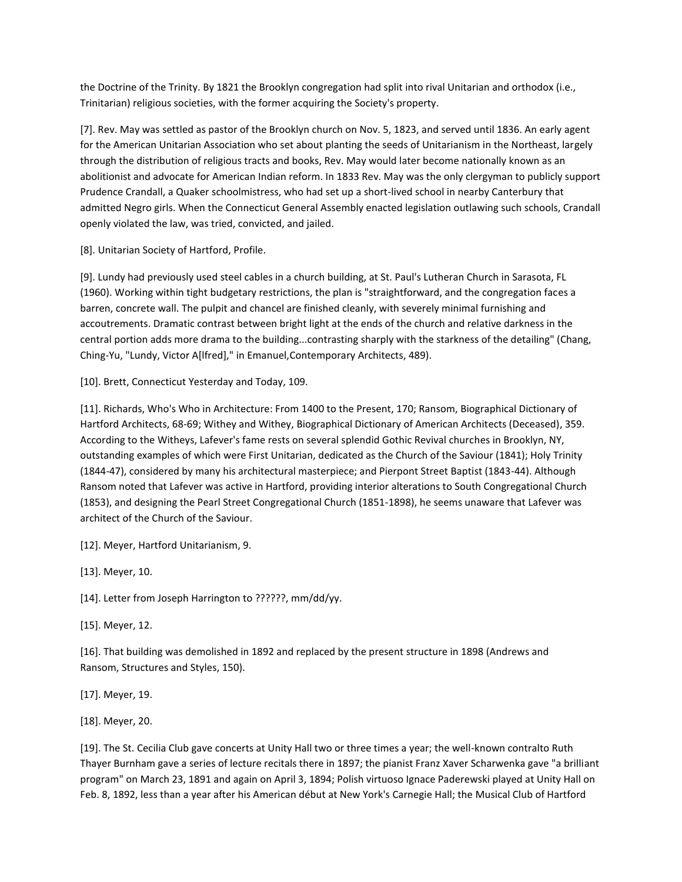the Doctrine of the Trinity. By 1821 the Brooklyn congregation had split into rival Unitarian and orthodox (i.e., Trinitarian) religious societies, with the former acquiring the Society's property.

[7]. Rev. May was settled as pastor of the Brooklyn church on Nov. 5, 1823, and served until 1836. An early agent for the American Unitarian Association who set about planting the seeds of Unitarianism in the Northeast, largely through the distribution of religious tracts and books, Rev. May would later become nationally known as an abolitionist and advocate for American Indian reform. In 1833 Rev. May was the only clergyman to publicly support Prudence Crandall, a Quaker schoolmistress, who had set up a short-lived school in nearby Canterbury that admitted Negro girls. When the Connecticut General Assembly enacted legislation outlawing such schools, Crandall openly violated the law, was tried, convicted, and jailed.

[8]. Unitarian Society of Hartford, Profile.

[9]. Lundy had previously used steel cables in a church building, at St. Paul's Lutheran Church in Sarasota, FL (1960). Working within tight budgetary restrictions, the plan is "straightforward, and the congregation faces a barren, concrete wall. The pulpit and chancel are finished cleanly, with severely minimal furnishing and accoutrements. Dramatic contrast between bright light at the ends of the church and relative darkness in the central portion adds more drama to the building...contrasting sharply with the starkness of the detailing" (Chang, Ching-Yu, "Lundy, Victor A[lfred]," in Emanuel,Contemporary Architects, 489).

[10]. Brett, Connecticut Yesterday and Today, 109.

[11]. Richards, Who's Who in Architecture: From 1400 to the Present, 170; Ransom, Biographical Dictionary of Hartford Architects, 68-69; Withey and Withey, Biographical Dictionary of American Architects (Deceased), 359. According to the Witheys, Lafever's fame rests on several splendid Gothic Revival churches in Brooklyn, NY, outstanding examples of which were First Unitarian, dedicated as the Church of the Saviour (1841); Holy Trinity (1844-47), considered by many his architectural masterpiece; and Pierpont Street Baptist (1843-44). Although Ransom noted that Lafever was active in Hartford, providing interior alterations to South Congregational Church (1853), and designing the Pearl Street Congregational Church (1851-1898), he seems unaware that Lafever was architect of the Church of the Saviour.

[12]. Meyer, Hartford Unitarianism, 9.

[13]. Meyer, 10.

[14]. Letter from Joseph Harrington to ??????, mm/dd/yy.

[15]. Meyer, 12.

[16]. That building was demolished in 1892 and replaced by the present structure in 1898 (Andrews and Ransom, Structures and Styles, 150).

[17]. Meyer, 19.

[18]. Meyer, 20.

[19]. The St. Cecilia Club gave concerts at Unity Hall two or three times a year; the well-known contralto Ruth Thayer Burnham gave a series of lecture recitals there in 1897; the pianist Franz Xaver Scharwenka gave "a brilliant program" on March 23, 1891 and again on April 3, 1894; Polish virtuoso Ignace Paderewski played at Unity Hall on Feb. 8, 1892, less than a year after his American début at New York's Carnegie Hall; the Musical Club of Hartford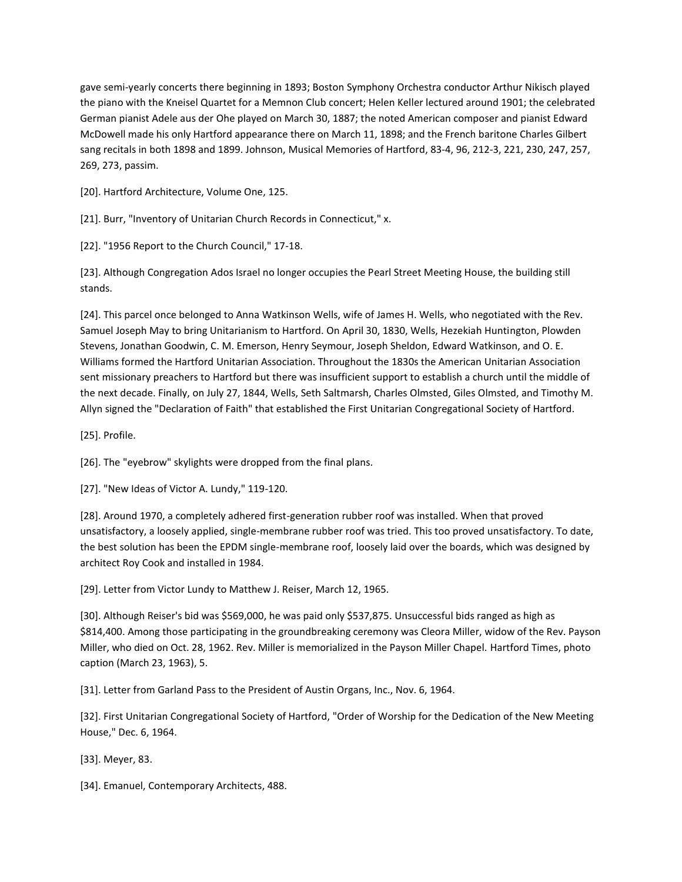gave semi-yearly concerts there beginning in 1893; Boston Symphony Orchestra conductor Arthur Nikisch played the piano with the Kneisel Quartet for a Memnon Club concert; Helen Keller lectured around 1901; the celebrated German pianist Adele aus der Ohe played on March 30, 1887; the noted American composer and pianist Edward McDowell made his only Hartford appearance there on March 11, 1898; and the French baritone Charles Gilbert sang recitals in both 1898 and 1899. Johnson, Musical Memories of Hartford, 83-4, 96, 212-3, 221, 230, 247, 257, 269, 273, passim.

[20]. Hartford Architecture, Volume One, 125.

[21]. Burr, "Inventory of Unitarian Church Records in Connecticut," x.

[22]. "1956 Report to the Church Council," 17-18.

[23]. Although Congregation Ados Israel no longer occupies the Pearl Street Meeting House, the building still stands.

[24]. This parcel once belonged to Anna Watkinson Wells, wife of James H. Wells, who negotiated with the Rev. Samuel Joseph May to bring Unitarianism to Hartford. On April 30, 1830, Wells, Hezekiah Huntington, Plowden Stevens, Jonathan Goodwin, C. M. Emerson, Henry Seymour, Joseph Sheldon, Edward Watkinson, and O. E. Williams formed the Hartford Unitarian Association. Throughout the 1830s the American Unitarian Association sent missionary preachers to Hartford but there was insufficient support to establish a church until the middle of the next decade. Finally, on July 27, 1844, Wells, Seth Saltmarsh, Charles Olmsted, Giles Olmsted, and Timothy M. Allyn signed the "Declaration of Faith" that established the First Unitarian Congregational Society of Hartford.

[25]. Profile.

[26]. The "eyebrow" skylights were dropped from the final plans.

[27]. "New Ideas of Victor A. Lundy," 119-120.

[28]. Around 1970, a completely adhered first-generation rubber roof was installed. When that proved unsatisfactory, a loosely applied, single-membrane rubber roof was tried. This too proved unsatisfactory. To date, the best solution has been the EPDM single-membrane roof, loosely laid over the boards, which was designed by architect Roy Cook and installed in 1984.

[29]. Letter from Victor Lundy to Matthew J. Reiser, March 12, 1965.

[30]. Although Reiser's bid was \$569,000, he was paid only \$537,875. Unsuccessful bids ranged as high as \$814,400. Among those participating in the groundbreaking ceremony was Cleora Miller, widow of the Rev. Payson Miller, who died on Oct. 28, 1962. Rev. Miller is memorialized in the Payson Miller Chapel. Hartford Times, photo caption (March 23, 1963), 5.

[31]. Letter from Garland Pass to the President of Austin Organs, Inc., Nov. 6, 1964.

[32]. First Unitarian Congregational Society of Hartford, "Order of Worship for the Dedication of the New Meeting House," Dec. 6, 1964.

[33]. Meyer, 83.

[34]. Emanuel, Contemporary Architects, 488.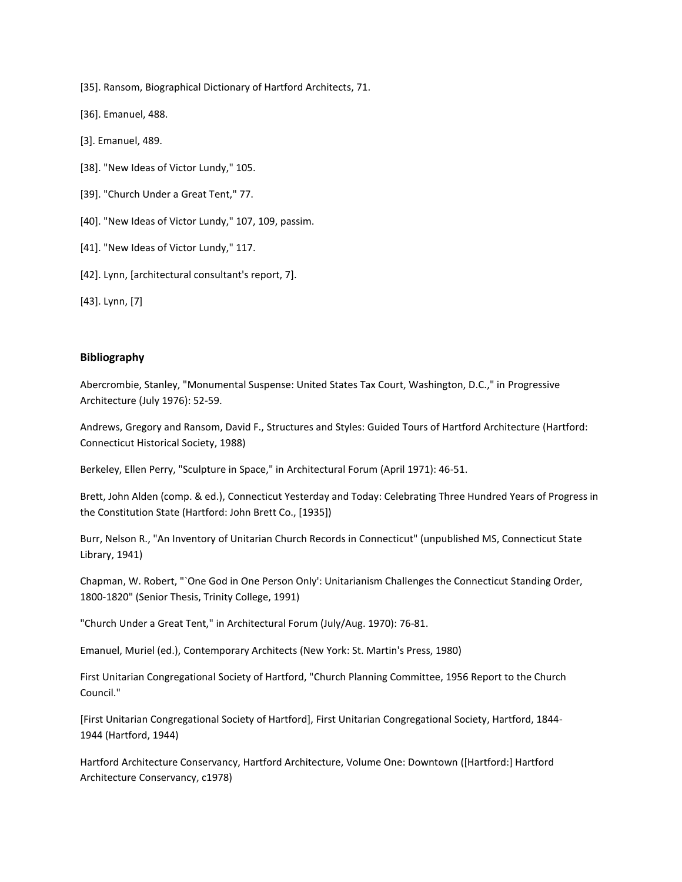[35]. Ransom, Biographical Dictionary of Hartford Architects, 71.

[36]. Emanuel, 488.

- [3]. Emanuel, 489.
- [38]. "New Ideas of Victor Lundy," 105.
- [39]. "Church Under a Great Tent," 77.
- [40]. "New Ideas of Victor Lundy," 107, 109, passim.
- [41]. "New Ideas of Victor Lundy," 117.
- [42]. Lynn, [architectural consultant's report, 7].

[43]. Lynn, [7]

## **Bibliography**

Abercrombie, Stanley, "Monumental Suspense: United States Tax Court, Washington, D.C.," in Progressive Architecture (July 1976): 52-59.

Andrews, Gregory and Ransom, David F., Structures and Styles: Guided Tours of Hartford Architecture (Hartford: Connecticut Historical Society, 1988)

Berkeley, Ellen Perry, "Sculpture in Space," in Architectural Forum (April 1971): 46-51.

Brett, John Alden (comp. & ed.), Connecticut Yesterday and Today: Celebrating Three Hundred Years of Progress in the Constitution State (Hartford: John Brett Co., [1935])

Burr, Nelson R., "An Inventory of Unitarian Church Records in Connecticut" (unpublished MS, Connecticut State Library, 1941)

Chapman, W. Robert, "`One God in One Person Only': Unitarianism Challenges the Connecticut Standing Order, 1800-1820" (Senior Thesis, Trinity College, 1991)

"Church Under a Great Tent," in Architectural Forum (July/Aug. 1970): 76-81.

Emanuel, Muriel (ed.), Contemporary Architects (New York: St. Martin's Press, 1980)

First Unitarian Congregational Society of Hartford, "Church Planning Committee, 1956 Report to the Church Council."

[First Unitarian Congregational Society of Hartford], First Unitarian Congregational Society, Hartford, 1844- 1944 (Hartford, 1944)

Hartford Architecture Conservancy, Hartford Architecture, Volume One: Downtown ([Hartford:] Hartford Architecture Conservancy, c1978)